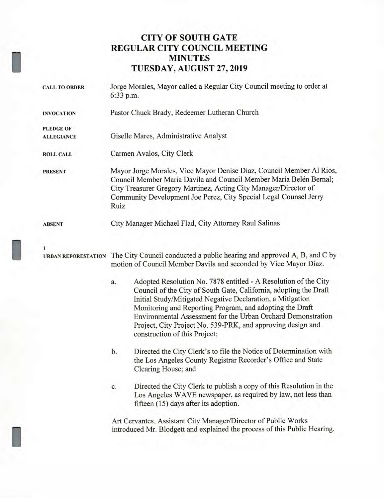## **CITY OF SOUTH GATE REGULAR CITY COUNCIL MEETING MINUTES TUESDAY, AUGUST 27, 2019**

| <b>CALL TO ORDER</b>                  | Jorge Morales, Mayor called a Regular City Council meeting to order at<br>6:33 p.m.                                                                                                                                                                                                                                                                                                                                                  |
|---------------------------------------|--------------------------------------------------------------------------------------------------------------------------------------------------------------------------------------------------------------------------------------------------------------------------------------------------------------------------------------------------------------------------------------------------------------------------------------|
| <b>INVOCATION</b>                     | Pastor Chuck Brady, Redeemer Lutheran Church                                                                                                                                                                                                                                                                                                                                                                                         |
| <b>PLEDGE OF</b><br><b>ALLEGIANCE</b> | Giselle Mares, Administrative Analyst                                                                                                                                                                                                                                                                                                                                                                                                |
| <b>ROLL CALL</b>                      | Carmen Avalos, City Clerk                                                                                                                                                                                                                                                                                                                                                                                                            |
| <b>PRESENT</b>                        | Mayor Jorge Morales, Vice Mayor Denise Diaz, Council Member Al Rios,<br>Council Member Maria Davila and Council Member María Belén Bernal;<br>City Treasurer Gregory Martinez, Acting City Manager/Director of<br>Community Development Joe Perez, City Special Legal Counsel Jerry<br>Ruiz                                                                                                                                          |
| <b>ABSENT</b>                         | City Manager Michael Flad, City Attorney Raul Salinas                                                                                                                                                                                                                                                                                                                                                                                |
| 1<br><b>URBAN REFORESTATION</b>       | The City Council conducted a public hearing and approved A, B, and C by<br>motion of Council Member Davila and seconded by Vice Mayor Diaz.                                                                                                                                                                                                                                                                                          |
|                                       | Adopted Resolution No. 7878 entitled - A Resolution of the City<br>a.<br>Council of the City of South Gate, California, adopting the Draft<br>Initial Study/Mitigated Negative Declaration, a Mitigation<br>Monitoring and Reporting Program, and adopting the Draft<br>Environmental Assessment for the Urban Orchard Demonstration<br>Project, City Project No. 539-PRK, and approving design and<br>construction of this Project; |
|                                       | Directed the City Clerk's to file the Notice of Determination with<br>b.<br>the Los Angeles County Registrar Recorder's Office and State<br>Clearing House; and                                                                                                                                                                                                                                                                      |
|                                       | Directed the City Clerk to publish a copy of this Resolution in the<br>c.<br>Los Angeles WAVE newspaper, as required by law, not less than<br>fifteen (15) days after its adoption.                                                                                                                                                                                                                                                  |
|                                       | Art Cervantes, Assistant City Manager/Director of Public Works<br>introduced Mr. Blodgett and explained the process of this Public Hearing.                                                                                                                                                                                                                                                                                          |

I

I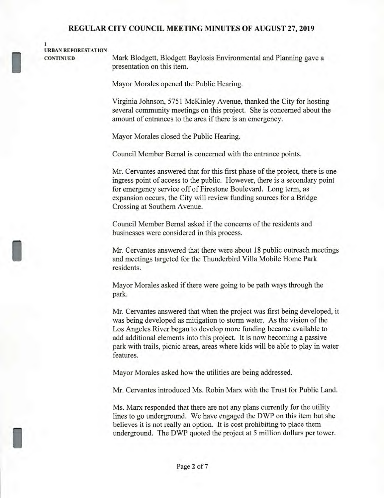#### **URBAN REFORESTATION**

**1** 

I

**CONTINUED** Mark Blodgett, Blodgett Baylosis Environmental and Planning gave a presentation on this item.

Mayor Morales opened the Public Hearing.

Virginia Johnson, 5751 McKinley Avenue, thanked the City for hosting several community meetings on this project. She is concerned about the amount of entrances to the area if there is an emergency.

Mayor Morales closed the Public Hearing.

Council Member Bernal is concerned with the entrance points.

Mr. Cervantes answered that for this first phase of the project, there is one ingress point of access to the public. However, there is a secondary point for emergency service off of Firestone Boulevard. Long term, as expansion occurs, the City will review funding sources for a Bridge Crossing at Southern Avenue.

Council Member Bernal asked if the concerns of the residents and businesses were considered in this process.

Mr. Cervantes answered that there were about 18 public outreach meetings and meetings targeted for the Thunderbird Villa Mobile Home Park residents.

Mayor Morales asked if there were going to be path ways through the park.

Mr. Cervantes answered that when the project was first being developed, it was being developed as mitigation to storm water. As the vision of the Los Angeles River began to develop more funding became available to add additional elements into this project. It is now becoming a passive park with trails, picnic areas, areas where kids will be able to play in water features.

Mayor Morales asked how the utilities are being addressed.

Mr. Cervantes introduced Ms. Robin Marx with the Trust for Public Land.

Ms. Marx responded that there are not any plans currently for the utility lines to go underground. We have engaged the DWP on this item but she believes it is not really an option. It is cost prohibiting to place them underground. The DWP quoted the project at 5 million dollars per tower.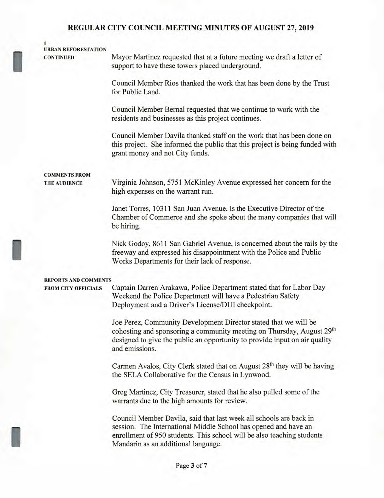### **URBAN REFORESTATION**

**1** 

1

I

**CONTINUED** Mayor Martinez requested that at a future meeting we draft a letter of support to have these towers placed underground.

> Council Member Rios thanked the work that has been done by the Trust for Public Land.

Council Member Bernal requested that we continue to work with the residents and businesses as this project continues.

Council Member Davila thanked staff on the work that has been done on this project. She informed the public that this project is being funded with grant money and not City funds.

# **COMMENTS FROM**

**THE AUDIENCE** Virginia Johnson, 5751 McKinley Avenue expressed her concern for the high expenses on the warrant run.

> Janet Torres, 10311 San Juan Avenue, is the Executive Director of the Chamber of Commerce and she spoke about the many companies that will be hiring.

> Nick Godoy, 8611 San Gabriel Avenue, is concerned about the rails by the freeway and expressed his disappointment with the Police and Public Works Departments for their lack of response.

#### **REPORTS AND COMMENTS**

**FROM CITY OFFICIALS** Captain Darren Arakawa, Police Department stated that for Labor Day Weekend the Police Department will have a Pedestrian Safety Deployment and a Driver's License/DUI checkpoint.

> Joe Perez, Community Development Director stated that we will be cohosting and sponsoring a community meeting on Thursday, August 29<sup>th</sup> designed to give the public an opportunity to provide input on air quality and emissions.

> Carmen Avalos, City Clerk stated that on August **28th** they will be having the SELA Collaborative for the Census in Lynwood.

Greg Martinez, City Treasurer, stated that he also pulled some of the warrants due to the high amounts for review.

Council Member Davila, said that last week all schools are back in session. The International Middle School has opened and have an enrollment of 950 students. This school will be also teaching students Mandarin as an additional language.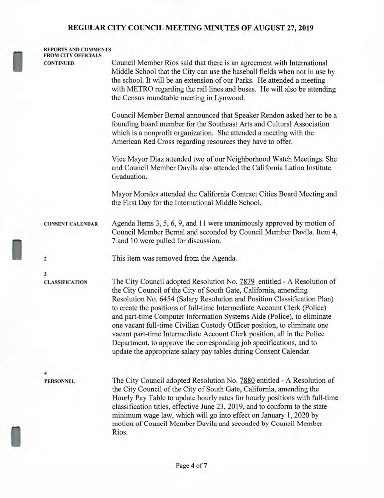| <b>FROM CITY OFFICIALS</b><br><b>CONTINUED</b> | Council Member Rios said that there is an agreement with International                                                                                                                                                                                                                                                                                                                                                                                                                                                                                                                                                                                                           |
|------------------------------------------------|----------------------------------------------------------------------------------------------------------------------------------------------------------------------------------------------------------------------------------------------------------------------------------------------------------------------------------------------------------------------------------------------------------------------------------------------------------------------------------------------------------------------------------------------------------------------------------------------------------------------------------------------------------------------------------|
|                                                | Middle School that the City can use the baseball fields when not in use by<br>the school. It will be an extension of our Parks. He attended a meeting<br>with METRO regarding the rail lines and buses. He will also be attending<br>the Census roundtable meeting in Lynwood.                                                                                                                                                                                                                                                                                                                                                                                                   |
|                                                | Council Member Bernal announced that Speaker Rendon asked her to be a<br>founding board member for the Southeast Arts and Cultural Association<br>which is a nonprofit organization. She attended a meeting with the<br>American Red Cross regarding resources they have to offer.                                                                                                                                                                                                                                                                                                                                                                                               |
|                                                | Vice Mayor Diaz attended two of our Neighborhood Watch Meetings. She<br>and Council Member Davila also attended the California Latino Institute<br>Graduation.                                                                                                                                                                                                                                                                                                                                                                                                                                                                                                                   |
|                                                | Mayor Morales attended the California Contract Cities Board Meeting and<br>the First Day for the International Middle School.                                                                                                                                                                                                                                                                                                                                                                                                                                                                                                                                                    |
| <b>CONSENT CALENDAR</b>                        | Agenda Items 3, 5, 6, 9, and 11 were unanimously approved by motion of<br>Council Member Bernal and seconded by Council Member Davila. Item 4,<br>7 and 10 were pulled for discussion.                                                                                                                                                                                                                                                                                                                                                                                                                                                                                           |
| 2                                              | This item was removed from the Agenda.                                                                                                                                                                                                                                                                                                                                                                                                                                                                                                                                                                                                                                           |
| 3<br><b>CLASSIFICATION</b>                     | The City Council adopted Resolution No. 7879 entitled - A Resolution of<br>the City Council of the City of South Gate, California, amending<br>Resolution No. 6454 (Salary Resolution and Position Classification Plan)<br>to create the positions of full-time Intermediate Account Clerk (Police)<br>and part-time Computer Information Systems Aide (Police), to eliminate<br>one vacant full-time Civilian Custody Officer position, to eliminate one<br>vacant part-time Intermediate Account Clerk position, all in the Police<br>Department, to approve the corresponding job specifications, and to<br>update the appropriate salary pay tables during Consent Calendar. |
| 4<br><b>PERSONNEL</b>                          | The City Council adopted Resolution No. 7880 entitled - A Resolution of<br>the City Council of the City of South Gate, California, amending the<br>Hourly Pay Table to update hourly rates for hourly positions with full-time<br>classification titles, effective June 23, 2019, and to conform to the state<br>minimum wage law, which will go into effect on January 1, 2020 by<br>motion of Council Member Davila and seconded by Council Member<br>Rios.                                                                                                                                                                                                                    |
|                                                |                                                                                                                                                                                                                                                                                                                                                                                                                                                                                                                                                                                                                                                                                  |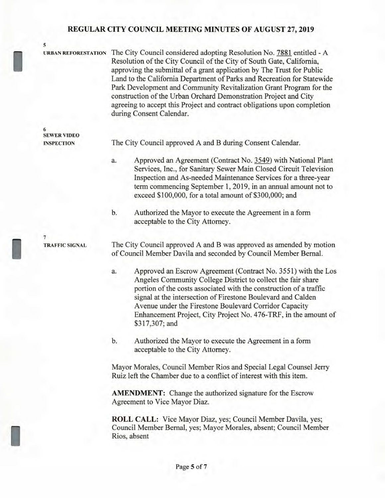**5** 

I

I

I

**URBAN REFORESTATION** The City Council considered adopting Resolution No. 7881 entitled - A Resolution of the City Council of the City of South Gate, California, approving the submittal of a grant application by The Trust for Public Land to the California Department of Parks and Recreation for Statewide Park Development and Community Revitalization Grant Program for the construction of the Urban Orchard Demonstration Project and City agreeing to accept this Project and contract obligations upon completion during Consent Calendar.

**6 SEWER VIDEO INSPECTION** 

The City Council approved A and B during Consent Calendar.

- a. Approved an Agreement (Contract No. 3549) with National Plant Services, Inc., for Sanitary Sewer Main Closed Circuit Television Inspection and As-needed Maintenance Services for a three-year term commencing September 1, 2019, in an annual amount not to exceed \$100,000, for a total amount of \$300,000; and
- b. Authorized the Mayor to execute the Agreement in a form acceptable to the City Attorney.

**7 TRAFFIC SIGNAL** 

The City Council approved A and B was approved as amended by motion of Council Member Davila and seconded by Council Member Bernal.

- a. Approved an Escrow Agreement (Contract No. 3551) with the Los Angeles Community College District to collect the fair share portion of the costs associated with the construction of a traffic signal at the intersection of Firestone Boulevard and Calden Avenue under the Firestone Boulevard Corridor Capacity Enhancement Project, City Project No. 476-TRF, in the amount of \$317,307; and
- b. Authorized the Mayor to execute the Agreement in a form acceptable to the City Attorney.

Mayor Morales, Council Member Rios and Special Legal Counsel Jerry Ruiz left the Chamber due to a conflict of interest with this item.

**AMENDMENT:** Change the authorized signature for the Escrow Agreement to Vice Mayor Diaz.

**ROLL CALL:** Vice Mayor Diaz, yes; Council Member Davila, yes; Council Member Bernal, yes; Mayor Morales, absent; Council Member Rios, absent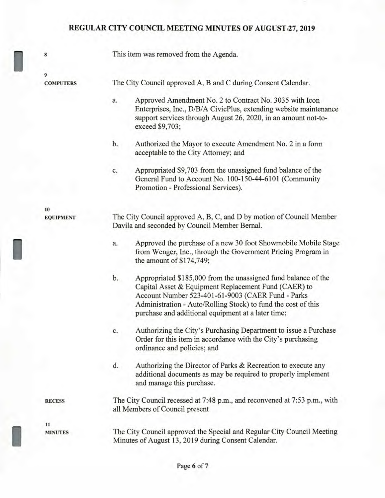**<sup>8</sup>**This item was removed from the Agenda. **9 COMPUTERS** The City Council approved A, B and C during Consent Calendar. **10 EQUIPMENT RECESS 11 MINUTES**  a. Approved Amendment No. 2 to Contract No. 3035 with Icon Enterprises, Inc., D/B/A CivicPlus, extending website maintenance support services through August 26, 2020, in an amount not-toexceed \$9,703; b. Authorized the Mayor to execute Amendment No. 2 in a form acceptable to the City Attorney; and c. Appropriated \$9,703 from the unassigned fund balance of the General Fund to Account No. 100-150-44-6101 (Community Promotion - Professional Services). The City Council approved A, B, C, and D by motion of Council Member Davila and seconded by Council Member Bernal. a. Approved the purchase of a new 30 foot Showmobile Mobile Stage from Wenger, Inc., through the Government Pricing Program in the amount of \$174,749; b. Appropriated \$185,000 from the unassigned fund balance of the Capital Asset & Equipment Replacement Fund (CAER) to Account Number 523-401-61-9003 (CAER Fund - Parks Administration - Auto/Rolling Stock) to fund the cost of this purchase and additional equipment at a later time; c. Authorizing the City's Purchasing Department to issue a Purchase Order for this item in accordance with the City's purchasing ordinance and policies; and d. Authorizing the Director of Parks & Recreation to execute any additional documents as may be required to properly implement and manage this purchase. The City Council recessed at 7:48 p.m., and reconvened at 7:53 p.m., with all Members of Council present The City Council approved the Special and Regular City Council Meeting Minutes of August 13, 2019 during Consent Calendar.